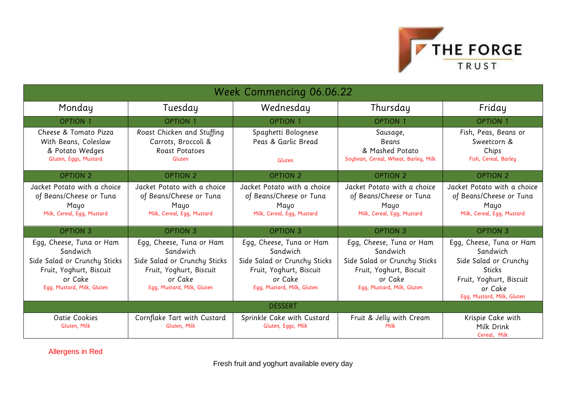

| <b>Week Commencing 06.06.22</b>                                                                                                          |                                                                                                                                          |                                                                                                                                          |                                                                                                                                          |                                                                                                                                                    |
|------------------------------------------------------------------------------------------------------------------------------------------|------------------------------------------------------------------------------------------------------------------------------------------|------------------------------------------------------------------------------------------------------------------------------------------|------------------------------------------------------------------------------------------------------------------------------------------|----------------------------------------------------------------------------------------------------------------------------------------------------|
| Monday                                                                                                                                   | Tuesday                                                                                                                                  | Wednesday                                                                                                                                | Thursday                                                                                                                                 | Friday                                                                                                                                             |
| <b>OPTION 1</b>                                                                                                                          | <b>OPTION 1</b>                                                                                                                          | <b>OPTION 1</b>                                                                                                                          | <b>OPTION 1</b>                                                                                                                          | <b>OPTION 1</b>                                                                                                                                    |
| Cheese & Tomato Pizza<br>With Beans, Coleslaw<br>& Potato Wedges<br>Gluten, Eggs, Mustard                                                | Roast Chicken and Stuffing<br>Carrots, Broccoli &<br><b>Roast Potatoes</b><br>Gluten                                                     | Spaghetti Bolognese<br>Peas & Garlic Bread<br>Gluten                                                                                     | Sausage,<br><b>Beans</b><br>& Mashed Potato<br>Soybean, Cereal, Wheat, Barley, Milk                                                      | Fish, Peas, Beans or<br>Sweetcorn &<br>Chips<br>Fish, Cereal, Barley                                                                               |
| <b>OPTION 2</b>                                                                                                                          | <b>OPTION 2</b>                                                                                                                          | <b>OPTION 2</b>                                                                                                                          | <b>OPTION 2</b>                                                                                                                          | <b>OPTION 2</b>                                                                                                                                    |
| Jacket Potato with a choice<br>of Beans/Cheese or Tuna<br>Mayo<br>Milk, Cereal, Egg, Mustard                                             | Jacket Potato with a choice<br>of Beans/Cheese or Tuna<br>Mayo<br>Milk, Cereal, Egg, Mustard                                             | Jacket Potato with a choice<br>of Beans/Cheese or Tuna<br>Mayo<br>Milk, Cereal, Egg, Mustard                                             | Jacket Potato with a choice<br>of Beans/Cheese or Tuna<br>Mayo<br>Milk, Cereal, Egg, Mustard                                             | Jacket Potato with a choice<br>of Beans/Cheese or Tuna<br>Mayo<br>Milk, Cereal, Egg, Mustard                                                       |
| <b>OPTION 3</b>                                                                                                                          | <b>OPTION 3</b>                                                                                                                          | <b>OPTION 3</b>                                                                                                                          | <b>OPTION 3</b>                                                                                                                          | <b>OPTION 3</b>                                                                                                                                    |
| Egg, Cheese, Tuna or Ham<br>Sandwich<br>Side Salad or Crunchy Sticks<br>Fruit, Yoghurt, Biscuit<br>or Cake<br>Egg, Mustard, Milk, Gluten | Egg, Cheese, Tuna or Ham<br>Sandwich<br>Side Salad or Crunchy Sticks<br>Fruit, Yoghurt, Biscuit<br>or Cake<br>Egg, Mustard, Milk, Gluten | Egg, Cheese, Tuna or Ham<br>Sandwich<br>Side Salad or Crunchy Sticks<br>Fruit, Yoghurt, Biscuit<br>or Cake<br>Egg, Mustard, Milk, Gluten | Egg, Cheese, Tuna or Ham<br>Sandwich<br>Side Salad or Crunchy Sticks<br>Fruit, Yoghurt, Biscuit<br>or Cake<br>Egg, Mustard, Milk, Gluten | Egg, Cheese, Tuna or Ham<br>Sandwich<br>Side Salad or Crunchy<br><b>Sticks</b><br>Fruit, Yoghurt, Biscuit<br>or Cake<br>Egg, Mustard, Milk, Gluten |
| <b>DESSERT</b>                                                                                                                           |                                                                                                                                          |                                                                                                                                          |                                                                                                                                          |                                                                                                                                                    |
| Oatie Cookies<br>Gluten, Milk                                                                                                            | Cornflake Tart with Custard<br>Gluten, Milk                                                                                              | Sprinkle Cake with Custard<br>Gluten, Eggs, Milk                                                                                         | Fruit & Jelly with Cream<br>Milk                                                                                                         | Krispie Cake with<br>Milk Drink<br>Cereal, Milk                                                                                                    |

Allergens in Red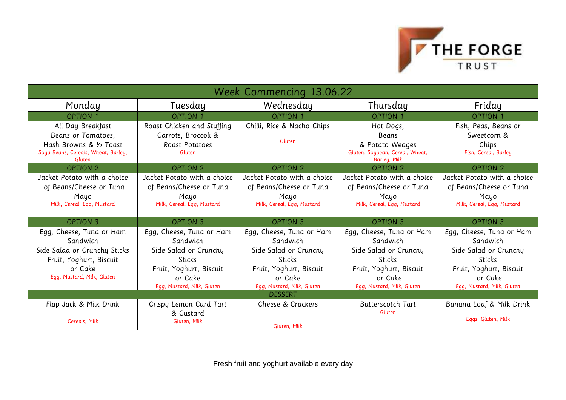

| Week Commencing 13.06.22                                                                                                                 |                                                                                                                                                    |                                                                                                                                                    |                                                                                                                                                    |                                                                                                                                                    |
|------------------------------------------------------------------------------------------------------------------------------------------|----------------------------------------------------------------------------------------------------------------------------------------------------|----------------------------------------------------------------------------------------------------------------------------------------------------|----------------------------------------------------------------------------------------------------------------------------------------------------|----------------------------------------------------------------------------------------------------------------------------------------------------|
| Monday                                                                                                                                   | Tuesday                                                                                                                                            | Wednesday                                                                                                                                          | Thursday                                                                                                                                           | Friday                                                                                                                                             |
| <b>OPTION 1</b>                                                                                                                          | <b>OPTION 1</b>                                                                                                                                    | <b>OPTION 1</b>                                                                                                                                    | <b>OPTION 1</b>                                                                                                                                    | <b>OPTION 1</b>                                                                                                                                    |
| All Day Breakfast<br>Beans or Tomatoes,<br>Hash Browns & 1/2 Toast<br>Soya Beans, Cereals, Wheat, Barley,<br>Gluten                      | Roast Chicken and Stuffing<br>Carrots, Broccoli &<br>Roast Potatoes<br>Gluten                                                                      | Chilli, Rice & Nacho Chips<br>Gluten                                                                                                               | Hot Dogs,<br>Beans<br>& Potato Wedges<br>Gluten, Soybean, Cereal, Wheat,<br>Barley, Milk                                                           | Fish, Peas, Beans or<br>Sweetcorn &<br>Chips<br>Fish, Cereal, Barley                                                                               |
| <b>OPTION 2</b>                                                                                                                          | <b>OPTION 2</b>                                                                                                                                    | <b>OPTION 2</b>                                                                                                                                    | <b>OPTION 2</b>                                                                                                                                    | OPTION 2                                                                                                                                           |
| Jacket Potato with a choice<br>of Beans/Cheese or Tuna<br>Mayo<br>Milk, Cereal, Egg, Mustard                                             | Jacket Potato with a choice<br>of Beans/Cheese or Tuna<br>Mayo<br>Milk, Cereal, Egg, Mustard                                                       | Jacket Potato with a choice<br>of Beans/Cheese or Tuna<br>Mayo<br>Milk, Cereal, Egg, Mustard                                                       | Jacket Potato with a choice<br>of Beans/Cheese or Tuna<br>Mayo<br>Milk, Cereal, Egg, Mustard                                                       | Jacket Potato with a choice<br>of Beans/Cheese or Tuna<br>Mayo<br>Milk, Cereal, Egg, Mustard                                                       |
| <b>OPTION 3</b>                                                                                                                          | <b>OPTION 3</b>                                                                                                                                    | <b>OPTION 3</b>                                                                                                                                    | <b>OPTION 3</b>                                                                                                                                    | <b>OPTION 3</b>                                                                                                                                    |
| Egg, Cheese, Tuna or Ham<br>Sandwich<br>Side Salad or Crunchy Sticks<br>Fruit, Yoghurt, Biscuit<br>or Cake<br>Egg, Mustard, Milk, Gluten | Egg, Cheese, Tuna or Ham<br>Sandwich<br>Side Salad or Crunchy<br><b>Sticks</b><br>Fruit, Yoghurt, Biscuit<br>or Cake<br>Egg, Mustard, Milk, Gluten | Egg, Cheese, Tuna or Ham<br>Sandwich<br>Side Salad or Crunchy<br><b>Sticks</b><br>Fruit, Yoghurt, Biscuit<br>or Cake<br>Egg, Mustard, Milk, Gluten | Egg, Cheese, Tuna or Ham<br>Sandwich<br>Side Salad or Crunchy<br><b>Sticks</b><br>Fruit, Yoghurt, Biscuit<br>or Cake<br>Egg, Mustard, Milk, Gluten | Egg, Cheese, Tuna or Ham<br>Sandwich<br>Side Salad or Crunchy<br><b>Sticks</b><br>Fruit, Yoghurt, Biscuit<br>or Cake<br>Egg, Mustard, Milk, Gluten |
| <b>DESSERT</b>                                                                                                                           |                                                                                                                                                    |                                                                                                                                                    |                                                                                                                                                    |                                                                                                                                                    |
| Flap Jack & Milk Drink<br>Cereals, Milk                                                                                                  | Crispy Lemon Curd Tart<br>& Custard<br>Gluten, Milk                                                                                                | Cheese & Crackers<br>Gluten, Milk                                                                                                                  | <b>Butterscotch Tart</b><br>Gluten                                                                                                                 | Banana Loaf & Milk Drink<br>Eggs, Gluten, Milk                                                                                                     |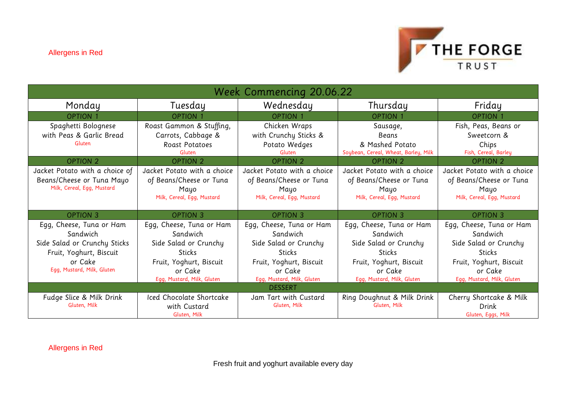

| Week Commencing 20.06.22       |                             |                             |                                      |                             |
|--------------------------------|-----------------------------|-----------------------------|--------------------------------------|-----------------------------|
| Monday                         | Tuesday                     | Wednesday                   | Thursday                             | Friday                      |
| <b>OPTION 1</b>                | <b>OPTION 1</b>             | <b>OPTION 1</b>             | <b>OPTION 1</b>                      | <b>OPTION 1</b>             |
| Spaghetti Bolognese            | Roast Gammon & Stuffing,    | Chicken Wraps               | Sausage,                             | Fish, Peas, Beans or        |
| with Peas & Garlic Bread       | Carrots, Cabbage &          | with Crunchy Sticks &       | Beans                                | Sweetcorn &                 |
| Gluten                         | Roast Potatoes              | Potato Wedges               | & Mashed Potato                      | Chips                       |
|                                | Gluten                      | Gluten                      | Soybean, Cereal, Wheat, Barley, Milk | Fish, Cereal, Barley        |
| <b>OPTION 2</b>                | <b>OPTION 2</b>             | <b>OPTION 2</b>             | <b>OPTION 2</b>                      | <b>OPTION 2</b>             |
| Jacket Potato with a choice of | Jacket Potato with a choice | Jacket Potato with a choice | Jacket Potato with a choice          | Jacket Potato with a choice |
| Beans/Cheese or Tuna Mayo      | of Beans/Cheese or Tuna     | of Beans/Cheese or Tuna     | of Beans/Cheese or Tuna              | of Beans/Cheese or Tuna     |
| Milk, Cereal, Egg, Mustard     | Mayo                        | Mayo                        | Mayo                                 | Mayo                        |
|                                | Milk, Cereal, Egg, Mustard  | Milk, Cereal, Egg, Mustard  | Milk, Cereal, Egg, Mustard           | Milk, Cereal, Egg, Mustard  |
|                                |                             |                             |                                      |                             |
| <b>OPTION 3</b>                | <b>OPTION 3</b>             | <b>OPTION 3</b>             | <b>OPTION 3</b>                      | <b>OPTION 3</b>             |
| Egg, Cheese, Tuna or Ham       | Egg, Cheese, Tuna or Ham    | Egg, Cheese, Tuna or Ham    | Egg, Cheese, Tuna or Ham             | Egg, Cheese, Tuna or Ham    |
| Sandwich                       | Sandwich                    | Sandwich                    | Sandwich                             | Sandwich                    |
| Side Salad or Crunchy Sticks   | Side Salad or Crunchy       | Side Salad or Crunchy       | Side Salad or Crunchy                | Side Salad or Crunchy       |
| Fruit, Yoghurt, Biscuit        | <b>Sticks</b>               | <b>Sticks</b>               | <b>Sticks</b>                        | <b>Sticks</b>               |
| or Cake                        | Fruit, Yoghurt, Biscuit     | Fruit, Yoghurt, Biscuit     | Fruit, Yoghurt, Biscuit              | Fruit, Yoghurt, Biscuit     |
| Egg, Mustard, Milk, Gluten     | or Cake                     | or Cake                     | or Cake                              | or Cake                     |
|                                | Egg, Mustard, Milk, Gluten  | Egg, Mustard, Milk, Gluten  | Egg, Mustard, Milk, Gluten           | Egg, Mustard, Milk, Gluten  |
| <b>DESSERT</b>                 |                             |                             |                                      |                             |
| Fudge Slice & Milk Drink       | Iced Chocolate Shortcake    | Jam Tart with Custard       | Ring Doughnut & Milk Drink           | Cherry Shortcake & Milk     |
| Gluten, Milk                   | with Custard                | Gluten, Milk                | Gluten, Milk                         | Drink                       |
|                                | Gluten, Milk                |                             |                                      | Gluten, Eggs, Milk          |

Allergens in Red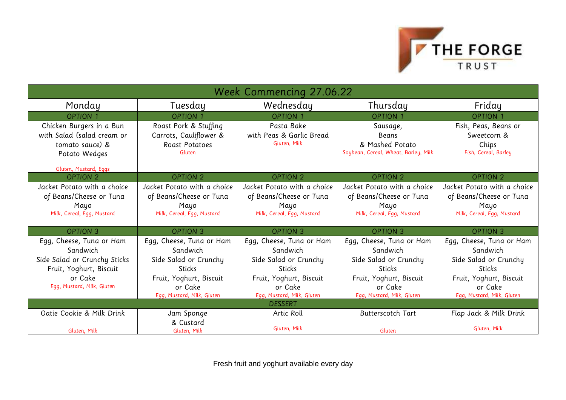

| <b>Week Commencing 27.06.22</b>                                                                                                          |                                                                                                                                             |                                                                                                                                             |                                                                                                                                                    |                                                                                                                                                    |
|------------------------------------------------------------------------------------------------------------------------------------------|---------------------------------------------------------------------------------------------------------------------------------------------|---------------------------------------------------------------------------------------------------------------------------------------------|----------------------------------------------------------------------------------------------------------------------------------------------------|----------------------------------------------------------------------------------------------------------------------------------------------------|
| Monday                                                                                                                                   | Tuesday                                                                                                                                     | Wednesday                                                                                                                                   | Thursday                                                                                                                                           | Friday                                                                                                                                             |
| <b>OPTION 1</b>                                                                                                                          | <b>OPTION 1</b>                                                                                                                             | <b>OPTION 1</b>                                                                                                                             | <b>OPTION 1</b>                                                                                                                                    | <b>OPTION 1</b>                                                                                                                                    |
| Chicken Burgers in a Bun<br>with Salad (salad cream or<br>tomato sauce) &<br>Potato Wedges                                               | Roast Pork & Stuffing<br>Carrots, Cauliflower &<br>Roast Potatoes<br>Gluten                                                                 | Pasta Bake<br>with Peas & Garlic Bread<br>Gluten, Milk                                                                                      | Sausage,<br>Beans<br>& Mashed Potato<br>Soybean, Cereal, Wheat, Barley, Milk                                                                       | Fish, Peas, Beans or<br>Sweetcorn &<br>Chips<br>Fish, Cereal, Barley                                                                               |
| Gluten, Mustard, Eggs                                                                                                                    |                                                                                                                                             |                                                                                                                                             |                                                                                                                                                    |                                                                                                                                                    |
| <b>OPTION 2</b>                                                                                                                          | <b>OPTION 2</b>                                                                                                                             | <b>OPTION 2</b>                                                                                                                             | <b>OPTION 2</b>                                                                                                                                    | <b>OPTION 2</b>                                                                                                                                    |
| Jacket Potato with a choice<br>of Beans/Cheese or Tuna<br>Mayo<br>Milk, Cereal, Egg, Mustard                                             | Jacket Potato with a choice<br>of Beans/Cheese or Tuna<br>Mayo<br>Milk, Cereal, Egg, Mustard                                                | Jacket Potato with a choice<br>of Beans/Cheese or Tuna<br>Mayo<br>Milk, Cereal, Egg, Mustard                                                | Jacket Potato with a choice<br>of Beans/Cheese or Tuna<br>Mayo<br>Milk, Cereal, Egg, Mustard                                                       | Jacket Potato with a choice<br>of Beans/Cheese or Tuna<br>Mayo<br>Milk, Cereal, Egg, Mustard                                                       |
| <b>OPTION 3</b>                                                                                                                          | <b>OPTION 3</b>                                                                                                                             | <b>OPTION 3</b>                                                                                                                             | <b>OPTION 3</b>                                                                                                                                    | <b>OPTION 3</b>                                                                                                                                    |
| Egg, Cheese, Tuna or Ham<br>Sandwich<br>Side Salad or Crunchy Sticks<br>Fruit, Yoghurt, Biscuit<br>or Cake<br>Egg, Mustard, Milk, Gluten | Egg, Cheese, Tuna or Ham<br>Sandwich<br>Side Salad or Crunchy<br>Sticks<br>Fruit, Yoghurt, Biscuit<br>or Cake<br>Egg, Mustard, Milk, Gluten | Egg, Cheese, Tuna or Ham<br>Sandwich<br>Side Salad or Crunchy<br>Sticks<br>Fruit, Yoghurt, Biscuit<br>or Cake<br>Egg, Mustard, Milk, Gluten | Egg, Cheese, Tuna or Ham<br>Sandwich<br>Side Salad or Crunchy<br><b>Sticks</b><br>Fruit, Yoghurt, Biscuit<br>or Cake<br>Egg, Mustard, Milk, Gluten | Egg, Cheese, Tuna or Ham<br>Sandwich<br>Side Salad or Crunchy<br><b>Sticks</b><br>Fruit, Yoghurt, Biscuit<br>or Cake<br>Egg, Mustard, Milk, Gluten |
| <b>DESSERT</b>                                                                                                                           |                                                                                                                                             |                                                                                                                                             |                                                                                                                                                    |                                                                                                                                                    |
| Oatie Cookie & Milk Drink<br>Gluten, Milk                                                                                                | Jam Sponge<br>& Custard<br>Gluten, Milk                                                                                                     | Artic Roll<br>Gluten, Milk                                                                                                                  | <b>Butterscotch Tart</b><br>Gluten                                                                                                                 | Flap Jack & Milk Drink<br>Gluten, Milk                                                                                                             |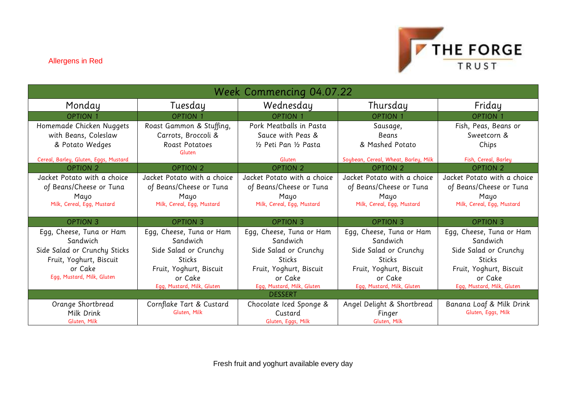

| Week Commencing 04.07.22              |                             |                             |                                      |                             |
|---------------------------------------|-----------------------------|-----------------------------|--------------------------------------|-----------------------------|
| Monday                                | Tuesday                     | Wednesday                   | Thursday                             | Friday                      |
| <b>OPTION 1</b>                       | <b>OPTION 1</b>             | <b>OPTION 1</b>             | <b>OPTION 1</b>                      | <b>OPTION 1</b>             |
| Homemade Chicken Nuggets              | Roast Gammon & Stuffing,    | Pork Meatballs in Pasta     | Sausage,                             | Fish, Peas, Beans or        |
| with Beans, Coleslaw                  | Carrots, Broccoli &         | Sauce with Peas &           | Beans                                | Sweetcorn &                 |
| & Potato Wedges                       | Roast Potatoes<br>Gluten    | 1/2 Peti Pan 1/2 Pasta      | & Mashed Potato                      | Chips                       |
| Cereal, Barley, Gluten, Eggs, Mustard |                             | Gluten                      | Soybean, Cereal, Wheat, Barley, Milk | Fish, Cereal, Barley        |
| <b>OPTION 2</b>                       | <b>OPTION 2</b>             | OPTION 2                    | <b>OPTION 2</b>                      | <b>OPTION 2</b>             |
| Jacket Potato with a choice           | Jacket Potato with a choice | Jacket Potato with a choice | Jacket Potato with a choice          | Jacket Potato with a choice |
| of Beans/Cheese or Tuna               | of Beans/Cheese or Tuna     | of Beans/Cheese or Tuna     | of Beans/Cheese or Tuna              | of Beans/Cheese or Tuna     |
| Mayo                                  | Mayo                        | Mayo                        | Mayo                                 | Mayo                        |
| Milk, Cereal, Egg, Mustard            | Milk, Cereal, Egg, Mustard  | Milk, Cereal, Egg, Mustard  | Milk, Cereal, Egg, Mustard           | Milk, Cereal, Egg, Mustard  |
| <b>OPTION 3</b>                       | <b>OPTION 3</b>             | <b>OPTION 3</b>             | <b>OPTION 3</b>                      | <b>OPTION 3</b>             |
| Egg, Cheese, Tuna or Ham              | Egg, Cheese, Tuna or Ham    | Egg, Cheese, Tuna or Ham    | Egg, Cheese, Tuna or Ham             | Egg, Cheese, Tuna or Ham    |
| Sandwich                              | Sandwich                    | Sandwich                    | Sandwich                             | Sandwich                    |
| Side Salad or Crunchy Sticks          | Side Salad or Crunchy       | Side Salad or Crunchy       | Side Salad or Crunchy                | Side Salad or Crunchy       |
| Fruit, Yoghurt, Biscuit               | <b>Sticks</b>               | <b>Sticks</b>               | <b>Sticks</b>                        | <b>Sticks</b>               |
| or Cake                               | Fruit, Yoghurt, Biscuit     | Fruit, Yoghurt, Biscuit     | Fruit, Yoghurt, Biscuit              | Fruit, Yoghurt, Biscuit     |
| Egg, Mustard, Milk, Gluten            | or Cake                     | or Cake                     | or Cake                              | or Cake                     |
|                                       | Egg, Mustard, Milk, Gluten  | Egg, Mustard, Milk, Gluten  | Egg, Mustard, Milk, Gluten           | Egg, Mustard, Milk, Gluten  |
| <b>DESSERT</b>                        |                             |                             |                                      |                             |
| Orange Shortbread                     | Cornflake Tart & Custard    | Chocolate Iced Sponge &     | Angel Delight & Shortbread           | Banana Loaf & Milk Drink    |
| Milk Drink                            | Gluten, Milk                | Custard                     | Finger                               | Gluten, Eggs, Milk          |
| Gluten, Milk                          |                             | Gluten, Eggs, Milk          | Gluten, Milk                         |                             |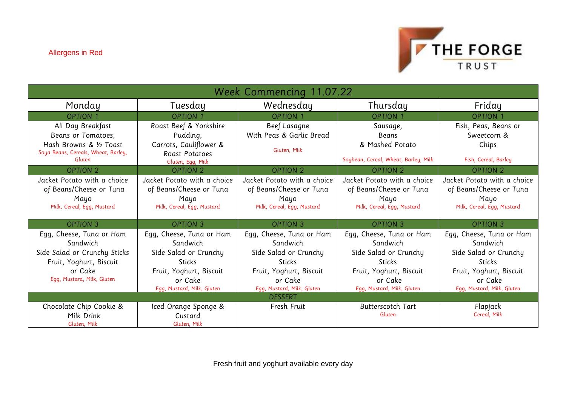

| Week Commencing 11.07.22                                                                                                                 |                                                                                                                                                    |                                                                                                                                                    |                                                                                                                                                    |                                                                                                                                                    |
|------------------------------------------------------------------------------------------------------------------------------------------|----------------------------------------------------------------------------------------------------------------------------------------------------|----------------------------------------------------------------------------------------------------------------------------------------------------|----------------------------------------------------------------------------------------------------------------------------------------------------|----------------------------------------------------------------------------------------------------------------------------------------------------|
| Monday                                                                                                                                   | Tuesday                                                                                                                                            | Wednesday                                                                                                                                          | Thursday                                                                                                                                           | Friday                                                                                                                                             |
| <b>OPTION 1</b>                                                                                                                          | <b>OPTION 1</b>                                                                                                                                    | <b>OPTION 1</b>                                                                                                                                    | <b>OPTION 1</b>                                                                                                                                    | <b>OPTION 1</b>                                                                                                                                    |
| All Day Breakfast<br>Beans or Tomatoes,<br>Hash Browns & 1/2 Toast<br>Soya Beans, Cereals, Wheat, Barley,<br>Gluten                      | Roast Beef & Yorkshire<br>Pudding,<br>Carrots, Cauliflower &<br>Roast Potatoes<br>Gluten, Egg, Milk                                                | Beef Lasagne<br>With Peas & Garlic Bread<br>Gluten, Milk                                                                                           | Sausage,<br><b>Beans</b><br>& Mashed Potato<br>Soybean, Cereal, Wheat, Barley, Milk                                                                | Fish, Peas, Beans or<br>Sweetcorn &<br>Chips<br>Fish, Cereal, Barley                                                                               |
| <b>OPTION 2</b>                                                                                                                          | <b>OPTION 2</b>                                                                                                                                    | <b>OPTION 2</b>                                                                                                                                    | <b>OPTION 2</b>                                                                                                                                    | <b>OPTION 2</b>                                                                                                                                    |
| Jacket Potato with a choice<br>of Beans/Cheese or Tuna<br>Mayo<br>Milk, Cereal, Egg, Mustard                                             | Jacket Potato with a choice<br>of Beans/Cheese or Tuna<br>Mayo<br>Milk, Cereal, Egg, Mustard                                                       | Jacket Potato with a choice<br>of Beans/Cheese or Tuna<br>Mayo<br>Milk, Cereal, Egg, Mustard                                                       | Jacket Potato with a choice<br>of Beans/Cheese or Tuna<br>Mayo<br>Milk, Cereal, Egg, Mustard                                                       | Jacket Potato with a choice<br>of Beans/Cheese or Tuna<br>Mayo<br>Milk, Cereal, Egg, Mustard                                                       |
| <b>OPTION 3</b>                                                                                                                          | <b>OPTION 3</b>                                                                                                                                    | <b>OPTION 3</b>                                                                                                                                    | <b>OPTION 3</b>                                                                                                                                    | <b>OPTION 3</b>                                                                                                                                    |
| Egg, Cheese, Tuna or Ham<br>Sandwich<br>Side Salad or Crunchy Sticks<br>Fruit, Yoghurt, Biscuit<br>or Cake<br>Egg, Mustard, Milk, Gluten | Egg, Cheese, Tuna or Ham<br>Sandwich<br>Side Salad or Crunchy<br><b>Sticks</b><br>Fruit, Yoghurt, Biscuit<br>or Cake<br>Egg, Mustard, Milk, Gluten | Egg, Cheese, Tuna or Ham<br>Sandwich<br>Side Salad or Crunchy<br><b>Sticks</b><br>Fruit, Yoghurt, Biscuit<br>or Cake<br>Egg, Mustard, Milk, Gluten | Egg, Cheese, Tuna or Ham<br>Sandwich<br>Side Salad or Crunchy<br><b>Sticks</b><br>Fruit, Yoghurt, Biscuit<br>or Cake<br>Egg, Mustard, Milk, Gluten | Egg, Cheese, Tuna or Ham<br>Sandwich<br>Side Salad or Crunchy<br><b>Sticks</b><br>Fruit, Yoghurt, Biscuit<br>or Cake<br>Egg, Mustard, Milk, Gluten |
| <b>DESSERT</b>                                                                                                                           |                                                                                                                                                    |                                                                                                                                                    |                                                                                                                                                    |                                                                                                                                                    |
| Chocolate Chip Cookie &<br>Milk Drink<br>Gluten, Milk                                                                                    | Iced Orange Sponge &<br>Custard<br>Gluten, Milk                                                                                                    | Fresh Fruit                                                                                                                                        | <b>Butterscotch Tart</b><br>Gluten                                                                                                                 | Flapjack<br>Cereal, Milk                                                                                                                           |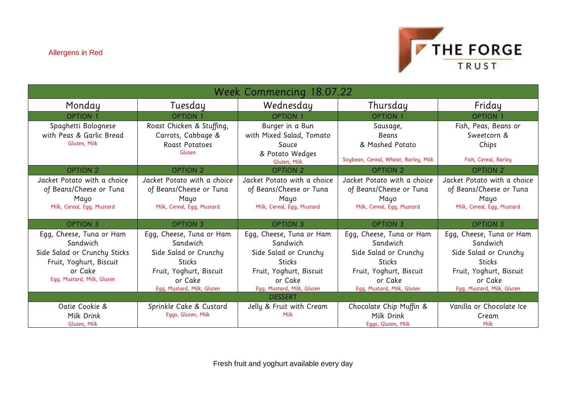

| Week Commencing 18.07.22                                                                                                                 |                                                                                                                                                    |                                                                                                                                                    |                                                                                                                                                    |                                                                                                                                                    |
|------------------------------------------------------------------------------------------------------------------------------------------|----------------------------------------------------------------------------------------------------------------------------------------------------|----------------------------------------------------------------------------------------------------------------------------------------------------|----------------------------------------------------------------------------------------------------------------------------------------------------|----------------------------------------------------------------------------------------------------------------------------------------------------|
| Monday                                                                                                                                   | Tuesday                                                                                                                                            | Wednesday                                                                                                                                          | Thursday                                                                                                                                           | Friday                                                                                                                                             |
| <b>OPTION 1</b>                                                                                                                          | <b>OPTION 1</b>                                                                                                                                    | <b>OPTION 1</b>                                                                                                                                    | <b>OPTION 1</b>                                                                                                                                    | <b>OPTION 1</b>                                                                                                                                    |
| Spaghetti Bolognese<br>with Peas & Garlic Bread<br>Gluten, Milk                                                                          | Roast Chicken & Stuffing,<br>Carrots, Cabbage &<br>Roast Potatoes<br>Gluten                                                                        | Burger in a Bun<br>with Mixed Salad, Tomato<br>Sauce<br>& Potato Wedges<br>Gluten, Milk                                                            | Sausage,<br>Beans<br>& Mashed Potato<br>Soybean, Cereal, Wheat, Barley, Milk                                                                       | Fish, Peas, Beans or<br>Sweetcorn &<br>Chips<br>Fish, Cereal, Barley                                                                               |
| <b>OPTION 2</b>                                                                                                                          | <b>OPTION 2</b>                                                                                                                                    | <b>OPTION 2</b>                                                                                                                                    | <b>OPTION 2</b>                                                                                                                                    | <b>OPTION 2</b>                                                                                                                                    |
| Jacket Potato with a choice<br>of Beans/Cheese or Tuna<br>Mayo<br>Milk, Cereal, Egg, Mustard                                             | Jacket Potato with a choice<br>of Beans/Cheese or Tuna<br>Mayo<br>Milk, Cereal, Egg, Mustard                                                       | Jacket Potato with a choice<br>of Beans/Cheese or Tuna<br>Mayo<br>Milk, Cereal, Egg, Mustard                                                       | Jacket Potato with a choice<br>of Beans/Cheese or Tuna<br>Mayo<br>Milk, Cereal, Egg, Mustard                                                       | Jacket Potato with a choice<br>of Beans/Cheese or Tuna<br>Mayo<br>Milk, Cereal, Egg, Mustard                                                       |
| <b>OPTION 3</b>                                                                                                                          | <b>OPTION 3</b>                                                                                                                                    | <b>OPTION 3</b>                                                                                                                                    | <b>OPTION 3</b>                                                                                                                                    | <b>OPTION 3</b>                                                                                                                                    |
| Egg, Cheese, Tuna or Ham<br>Sandwich<br>Side Salad or Crunchy Sticks<br>Fruit, Yoghurt, Biscuit<br>or Cake<br>Egg, Mustard, Milk, Gluten | Egg, Cheese, Tuna or Ham<br>Sandwich<br>Side Salad or Crunchy<br><b>Sticks</b><br>Fruit, Yoghurt, Biscuit<br>or Cake<br>Egg, Mustard, Milk, Gluten | Egg, Cheese, Tuna or Ham<br>Sandwich<br>Side Salad or Crunchy<br><b>Sticks</b><br>Fruit, Yoghurt, Biscuit<br>or Cake<br>Egg, Mustard, Milk, Gluten | Egg, Cheese, Tuna or Ham<br>Sandwich<br>Side Salad or Crunchy<br><b>Sticks</b><br>Fruit, Yoghurt, Biscuit<br>or Cake<br>Egg, Mustard, Milk, Gluten | Egg, Cheese, Tuna or Ham<br>Sandwich<br>Side Salad or Crunchy<br><b>Sticks</b><br>Fruit, Yoghurt, Biscuit<br>or Cake<br>Egg, Mustard, Milk, Gluten |
| <b>DESSERT</b>                                                                                                                           |                                                                                                                                                    |                                                                                                                                                    |                                                                                                                                                    |                                                                                                                                                    |
| Oatie Cookie &<br>Milk Drink<br>Gluten, Milk                                                                                             | Sprinkle Cake & Custard<br>Eggs, Gluten, Milk                                                                                                      | Jelly & Fruit with Cream<br>Milk                                                                                                                   | Chocolate Chip Muffin &<br>Milk Drink<br>Eggs, Gluten, Milk                                                                                        | Vanilla or Chocolate Ice<br>Cream<br>Milk                                                                                                          |